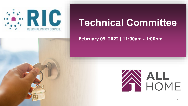

# **Technical Committee**

#### **February 09, 2022 | 11:00am - 1:00pm**

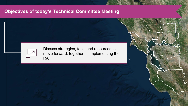#### **Objectives of today's Technical Committee Meeting**



Discuss strategies, tools and resources to move forward, together, in implementing the RAP

1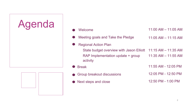

| Welcome                                                      | $11:00$ AM $- 11:05$ AM |
|--------------------------------------------------------------|-------------------------|
| Meeting goals and Take the Pledge                            | $11:05$ AM $- 11:15$ AM |
| <b>Regional Action Plan</b>                                  |                         |
| State budget overview with Jason Elliott 11:15 AM – 11:35 AM |                         |
| RAP Implementation update + group<br>activity                | $11:35$ AM $- 11:55$ AM |
| <b>Break</b>                                                 | 11:55 AM - 12:05 PM     |
| Group breakout discussions                                   | 12:05 PM - 12:50 PM     |
| Next steps and close                                         | 12:50 PM - 1:00 PM      |

● Next steps and close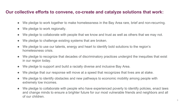#### **Our collective efforts to convene, co-create and catalyze solutions that work:**

- We pledge to work together to make homelessness in the Bay Area rare, brief and non-recurring.
- We pledge to work regionally.
- We pledge to collaborate with people that we know and trust as well as others that we may not.
- We pledge to challenge existing systems that are broken.
- We pledge to use our talents, energy and heart to identify bold solutions to the region's homelessness crisis.
- We pledge to recognize that decades of discriminatory practices undergird the inequities that exist in our region today.
- We pledge to support and build a racially diverse and inclusive Bay Area.
- We pledge that our response will move at a speed that recognizes that lives are at stake.
- We pledge to identify obstacles and new pathways to economic mobility among people with extremely low incomes.
- We pledge to collaborate with people who have experienced poverty to identify policies, enact laws and change minds to ensure a brighter future for our most vulnerable friends and neighbors and all of our children.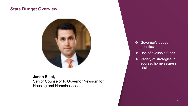#### **State Budget Overview**



**Jason Elliot,**  Senior Counselor to Governor Newsom for Housing and Homelessness

- ❖ Governor's budget priorities
- ❖ Use of available funds
- ❖ Variety of strategies to address homelessness crisis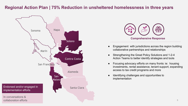#### **Regional Action Plan | 75% Reduction in unsheltered homelessness in three years**





- Engagement with jurisdictions across the region building collaborative partnerships and relationships
- Strengthening the Great Policy Solutions and 1-2-4 Action Teams to better identify strategies and tools
- Focusing advocacy efforts on many fronts: ie: housing investments, rental assistance, tenant support, expanding access to tax credit programs and more
- Identifying challenges and opportunities to implementation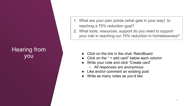### Hearing from you

- 1. What are your pain points (what gets in your way) to reaching a 75% reduction goal?
- 2. What tools, resources, support do you need to support your role in reaching our 75% reduction in homelessness?

- Click on the link in the chat: RetroBoard
- Click on the " $+$  add card" below each column
- Write your note and click "Create card"
	- *All responses are anonymous*
- Like and/or comment an existing post
- Write as many notes as you'd like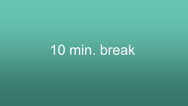10 min. break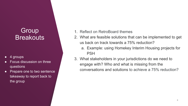## **Group Breakouts**

- 4 groups
- Focus discussion on three questions
- Prepare one to two sentence takeaway to report back to the group
- 1. Reflect on RetroBoard themes
- 2. What are feasible solutions that can be implemented to get us back on track towards a 75% reduction?
	- a. Example: using Homekey Interim Housing projects for PSH
- 3. What stakeholders in your jurisdictions do we need to engage with? Who and what is missing from the conversations and solutions to achieve a 75% reduction?